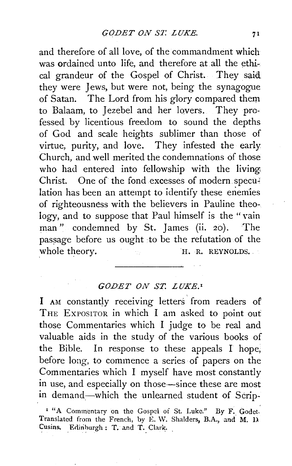and therefore of all love, of the commandment which was ordained unto life, and therefore at all the ethical grandeur of the Gospel of Christ. They said, they were Jews, but were not, being the synagogue of Satan. The Lord from his glory compared them to Balaam, to Jezebel and her lovers. They professed by licentious freedom to sound the depths of God and scale heights sublimer than those of virtue, purity, and love. They infested the early Church, and well merited the condemnations of those who had entered into fellowship with the living Christ. One of the fond excesses of modern speculation has been an attempt to identify these enemies of righteousness with the believers in Pauline theology, and to suppose that Paul himself is the "vain man" condemned by St. James (ii. 20). The passage before us ought to be the refutation of the whole theory. H. R. REYNOLDS.

## *GODET ON ST. LUKE.•*

I AM constantly receiving letters' from readers of THE EXPOSITOR in which I am asked to point out those Commentaries which I judge to be real and valuable aids in the study of the various books of the Bible. In response to these appeals I hope, before long, to commence a series of papers on the Commentaries which I myself have most constantly in use, and especially on those-since these are most in demand-which the unlearned student of Scrip-

<sup>&</sup>lt;sup>1</sup> "A Commentary on the Gospel of St. Luke." By F. Godet. Translated from the French, by E. W. Shalders, B.A., and M. D. Cusins. Edinburgh: T. and T. Clark.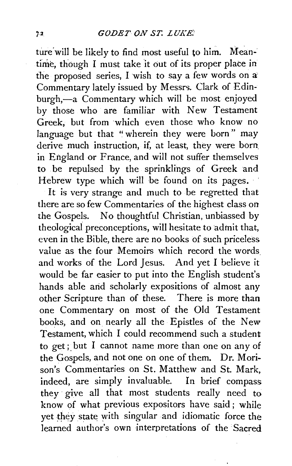ture will be likely to find most useful to him. Meantime, though I must take it out of its proper place in the proposed series, I wish to say a few words on a' Commentary lately issued by Messrs. Clark of Edinburgh,-a Commentary which will be most enjoyed by those who are familiar with New Testament Greek, but from which even those who know no language but that "wherein they were born" may derive much instruction, if, at least, they were born. in England or France, and will not suffer themselves to be repulsed by the sprinklings of Greek and Hebrew type which will be found on its pages.

It is very strange and much to be regretted that there are so few Commentaries of the highest class on the Gospels. No thoughtful Christian, unbiassed by theological preconceptions, will hesitate to admit that, even in the Bible, there are no books of such priceless value as the four Memoirs which record the words. and works of the Lord Jesus. And yet I believe it would be far easier to put into the English student's hands able and scholarly expositions of almost any other Scripture than of these. There is more than one Commentary on most of the Old Testament books, and on nearly all the Epistles of the New Testament, which I could recommend such a student to get; but I cannot name more than one on any of the Gospels, and not one on one of them. Dr. Morison's Commentaries on St. Matthew and St. Mark,  $indeed$ , are simply invaluable. In brief compass they give all that most students really need to know of what previous expositors have said; while yet they state with singular and idiomatic force the learned author's own interpretations of the Sacred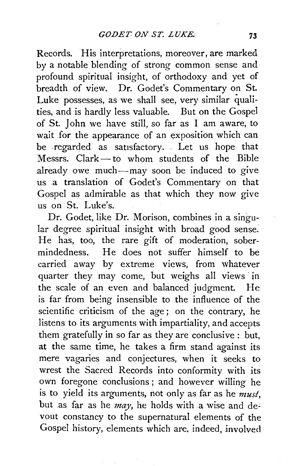Records. His interpretations, moreover, are marked by a notable blending of strong common sense and profound spiritual insight, of orthodoxy and yet of breadth of view. Dr. Godet's Commentary on St. Luke possesses, as we shall see, very similar qualities, and is hardly less valuable. But on the Gospel of St. John we have still, so far as I am aware, to wait for the appearance of an exposition which can be .regarded as satisfactory. Let us hope that Messrs. Clark-to whom students of the Bible already owe much-may soon be induced to give us a translation of Godet's Commentary on that Gospel as admirable as that which they now give us on St. Luke's.

Dr. Godet, like Dr. Morison, combines in a singular degree spiritual insight with broad good sense. He has, too, the rare gift of moderation, sobermindedness. He does not suffer himself to be carried away by extreme views, from whatever quarter they may come, but weighs all views in the scale of an even and balanced judgment. He is far from being insensible to the influence of the scientific criticism of the age; on the contrary, he listens to its arguments with impartiality, and accepts them gratefully in so far as they are conclusive : but, at the same time, he takes a firm stand against its mere vagaries and conjectures, when it seeks to wrest the Sacred Records into conformity with its own foregone conclusions ; and however willing he is to yield its arguments, not only as far as he *must,*  but as far as he *may*, he holds with a wise and devout constancy to the supernatural elements of the Gospel history, elements which are, indeed, involved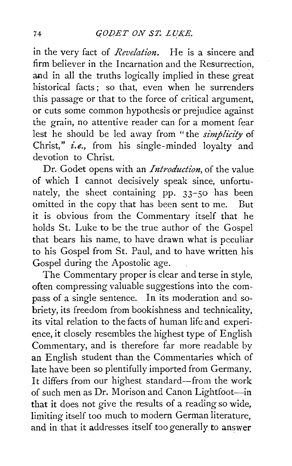in the very fact of *Revelation*. He is a sincere and firm believer in the Incarnation and the Resurrection, and in all the truths logically implied in these great historical facts ; so that, even when he surrenders this passage or that to the force of critical argument, or cuts some common hypothesis or prejudice against the grain, no attentive reader can for a moment fear lest he should be led away from "the *simplicity* of Christ," *i.e.,* from his single-minded loyalty and devotion to Christ.

Dr. Godet opens with an *Introduction*, of the value of which I cannot decisively speak since, unfortunately, the sheet containing pp.  $33-50$  has been omitted in the copy that has been sent to me. But it is obvious from the Commentary itself that he holds St. Luke to be the true author of the Gospel that bears *his* name, to have drawn what is peculiar to his Gospel from St. Paul, and to have written his Gospel during the Apostolic age.

The Commentary proper is clear and terse in style, often compressing valuable suggestions into the compass of a single sentence. In its moderation and sobriety, its freedom from bookishness and technicality, its vital relation to the facts of human life and experi ence, it closely resembles the highest type of English Commentary, and is therefore far more readable by an English student than the Commentaries which of late have been so plentifully imported from Germany. It differs from our highest standard-from the work of such men as Dr. Morison and Canon Lightfoot-in that it does not give the results of a reading so wide, limiting itself too much to modern German literature, and in that it addresses itself too generally to answer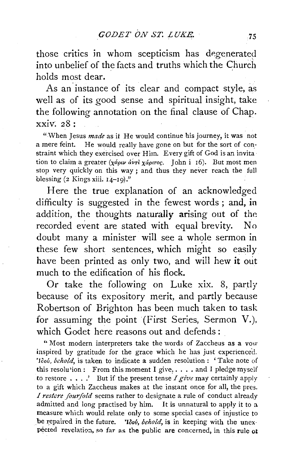those critics in whom scepticism has degenerated into unbelief of the facts and truths which the Church holds most dear.

As an instance of its clear and compact style, as well as of its good sense and spiritual insight, take the following annotation on the final clause of Chap.  $xxiv_{2}8$  :

"'When Jesus *made* as it He would continue his journey, it was not a mere feint. He would really have gone on but for the sort of constraint which they exercised over Him. Every gift of God is an invita tion to claim a greater ( $\chi$ ápuv ávri  $\chi$ ápuroc. John i 16). But most men stop very quickly on this way ; and thus they never reach the full blessing  $(2$  Kings xiii.  $14-19$ ."

Here the true explanation of an acknowledged difficulty is suggested in the fewest words ; and, in addition, the thoughts naturally arising out of the recorded event are stated with equal brevity. No doubt many a minister will see a whole sermon in these few short sentences, which might so easily have been printed as only two, and will hew it out much to the edification of his flock.

Or take the following on Luke xix. 8, partly because of its expository merit, and partly because Robertson of Brighton has been much taken to task for assuming the point (First Series, Sermon V.), which Godet here reasons out and defends:

''Most modern interpreters take the words of Zaccheus as a vow inspired by gratitude for the grace which he has just experienced. 'Ioov, behold, is taken to indicate a sudden resolution : 'Take note of this resolu'ion: From this moment I give, .... and I pledge myself to restore .•.. ' But if the present tense I *give* may certainly apply to a gift which Zaccheus makes at the instant once for all, the pres. *I restcre fourfold* seems rather to designate a rule of conduct already admitted and long practised by him. It is unnatural to apply it to a. measure which would relate only to some special cases of injustice to be repaired in the future. *'Idov, behold*, is in keeping with the unexpected revelation, so far as the public are concerned, in this rule of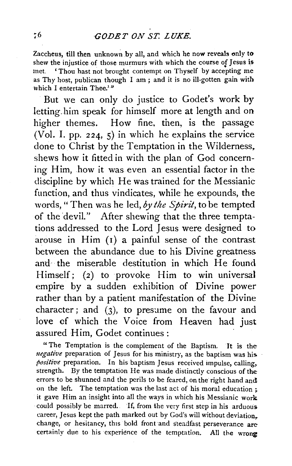Zaccheus, till then unknown by all, and which he now reveals only to shew the injustice of those murmurs with which the course of Jesus is met. 'Thou hast not brought contempt on Thyself by accepting me as Thy host, publican though I am ; and it is no ill-gotten gain with which I entertain Thee.<sup>1,2</sup>

But we can only do justice to Godet's work by letting.him speak for himself more at length and on higher themes. How fine, then, is the passage (Vol. I. pp. 224, 5) in which he explains the service done to Christ by the Temptation in the Wilderness, shews how it fitted in with the plan of God concerning Him, how it was even an essential factor in the discipline by which He was trained for the Messianic function, and thus vindicates, while he expounds, the words, "Then was he led, *by the Spirit,* to be tempted of the devil." After shewing that the three temptations addressed to the Lord Jesus were designed to arouse in Him (1) a painful sense of the contrast between the abundance due to his Divine greatness and the miserable destitution in which He found Himself; (2) to provoke Him to win universal empire by a sudden exhibition of Divine power rather than by a patient manifestation of the Divine character; and  $(3)$ , to presume on the favour and love of which the Voice from Heaven had just assured Him, Godet continues: ·

"The Temptation is the complement of the Baptism. It is the *negative* preparation of Jesus for his ministry, as the baptism was his *positive* preparation. In his baptism Jesus received impulse, calling, strength. By the temptation He was made distinctly conscious of the errors to be shunned and the perils to be feared, on the right hand andl on the left. The temptation was the last act of his moral education: it gave Him an insight into all the ways in which his Messianic work could possibly be marred. If, from the very first step in his arduous career, Jesus kept the path marked out by God's will without deviation. change, or hesitancy, this bold front and steadfast perseverance are certainly due to his experience of the temptation. All the wrong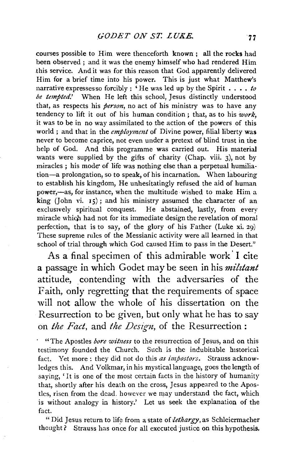courses possible to Him were thenceforth known ; all the rocks had been observed; and it was the enemy himself who had rendered Him this service. And it was for this reason that God apparently delivered Him for a brief time into his power. This is just what Matthew's narrative expressesso forcibly: 'He was led up by the Spirit  $\ldots$  *to be tempted.'* When He left this school, Jesus distinctly understood that, as respects his *person,* no act of his ministry was to have any tendency to lift it out of his human condition ; that, as to his *work,*  it was to be in no way assimilated to the action of the powers of this world ; and that in the *employment* of Divine power, filial liberty was never to become caprice, not even under a pretext of blind trust in the help of God. And this programme was carried out. His material wants were supplied by the gifts of charity (Chap. viii. 3), not by miracles; his mode of life was nothing else than a perpetual humiliation -a prolongation, so to speak, of his incarnation. When labouring to establish his kingdom, He unhesitatingly refused the aid of human power,—as, for instance, when the multitude wished to make Him a king (John vi. 15); and his ministry assumed the character of an exclusively spiritual conquest. He abstained, lastly, from every miracle which had not for its immediate design the revelation of moral perfection, that is to say, of the glory of his Father (Luke xi. 29) These supreme rules of the Messianic activity were all learned in that school of trial through which God caused Him to pass in the Desert.''

As a final specimen of this admirable work' I cite a passage in which Godet may be seen in his *milztant*  attitude, contending with the adversaries of the Faith, only regretting that the requirements of space will not allow the whole of his dissertation on the Resurrection to be given, but only what he has to say on *the Fact,* and *the Design,* of the Resurrection :

· "The Apostles *bore witiress* to the resurrection of Jesus, and on this testimony founded the Church. Such is the indubitable historical fact. Yet more: they did not do this *as impostors.* Strauss acknowledges this. And Volkmar, in his mystical language, goes the length of saying, 'It is one of the most certain facts in tbe history of humanity that, shortly after his death on the cross, Jesus appeared to the Apostles, risen from the dead. however we may understand the fact, which is without analogy in history.' Let us seek the explanation of the fact.

" Did Jesus return to life from a state of *lethargy*, as Schleiermacher thought? Strauss has once for all executed justice on this hypothesis.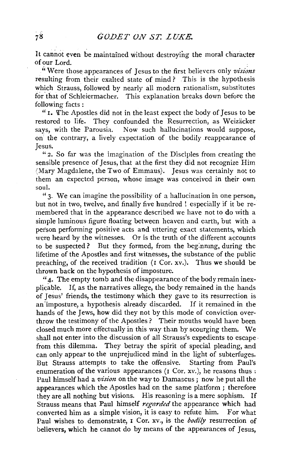It cannot even be maintained without destroying the moral character of our Lord.

"Were those appearances of Jesus to the first believers only visions resulting from their exalted state of mind? This is the hypothesis which Strauss, followed by nearly all modern rationalism, substitutes for that of Schleiermacher. This explanation breaks down before the following facts:

"I. The Apostles did not in the least expect the body of Jesus to be restored to life. They confounded the Resurrection, as Weizäcker says, with the Parousia. Now such hallucinations would suppose, on the contrary, a lively expectation of the bodily reappearance of Jesus.

"2. So far was the imagination of the Disciples from creating the sensible presence of Jesus, that at the first they did not recognize Him (Mary Magdalene, the Two of Emmaus). Jesus was certainly not to them an expected person, whose image was conceived in their own soul.

"3· We can imagine the possibility of a hallucination in one person, but not in two, twelve, and finally five hundred ! especially if it be remembered that in the appearance described we have not to do with a simple luminous figure floating between heaven and earth, but with a person performing positive acts and uttering exact statements, which were heard by the witnesses. Or is the truth of the different accounts to be suspected? But they formed, from the beginning, during the lifetime of the Apostles and first witnesses, the substance of the public preaching, of the received tradition (r Cor. xv.). Thus we should be thrown back on the hypothesis of imposture.

"4· The empty tomb and the disappearance of the body remain inexplicable. If, as the narratives allege, the body remained in the hands of Jesus' friends, the testimony which they gave to its resurrection is an'imposture, a hypothesis already discarded. If it remained in the hands of the Jews, how did they not by this mode of conviction overthrow the testimony of the Apostles? Their mouths would have been closed much more effectually in this way than by scourging them. We shall not enter into the discussion of all Strauss's expedients to escape· from this dilemma. They betray the spirit of special pleading, and can only appear to the unprejudiced mind in the light of subterfuges. But Strauss attempts to take the offensive. Starting from Paul's enumeration of the various appearances  $(1 \text{ Cor. } xv)$ , he reasons thus: Paul himself had a *vision* on the way to Damascus; now he put all the appearances which the Apostles had on the same platform ; therefore they are all nothing but visions. His reasoning is a mere sophism. If Strauss means that Paul himself *regarded* the appearance which had converted him as a simple vision, it is easy to refute him. For what Paul wishes to demonstrate, 1 Cor. xv., is the *bodily* resurrection of believers, which he cannot do by means of the appearances of Jesus,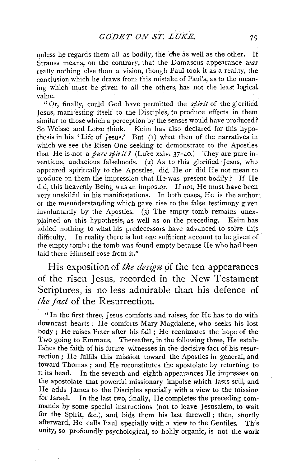unless he regards them all as bodily, the one as well as the other. If Strauss means, on the contrary, that the Damascus appearance *was*  really nothing else than a vision, though Paul took it as a reality, the conclusion which he draws from this mistake of Paul's, as to the mean· ing which must be given to all the others, has not the least logical value.

" Or, finally, could God have permitted the *spirit* of the glorified Jesus, manifesting itself to the Disciples, to produce effects in them similar to those which a perception by the senses would have produced? So Weisse and Lotze think. Keim has also declared for this hypothesis in his 'Life of Jesus.' But (r) what then of the narratives in which we see the Risen One seeking to demonstrate to the Apostles that He is not a *pure spirit?* (Luke xxiv. 37-40.) They are pure inventions, audacious falsehoods. (2) As to this glorified Jesus, who appeared spiritually to the Apostles, did He or did He not mean to produce on them the impression that He was present bodily? If He did, this heavenly Being was an impostor. If not, He must have been very unskilful in his manifestations. In both cases, He is the author of the misunderstanding which gave rise to the false testimony given involuntarily by the Apostles. (3) The empty tomb remains unexplained on this hypothesis, as well as on the preceding. Keim has added nothing to what his predecessors have advanced to solve this difficulty. In reality there is but one sufficient account to be given of the empty tomb : the tomb was found empty because He who had been laid there Himself rose from it."

His exposition of *the design* of the ten appearances of the risen Jesus, recorded in the New Testament Scriptures, is no less admirable than his defence of *the fact* of the Resurrection.

" In the first three, Jesus comforts and raises, for He has to do with downcast hearts : He comforts Mary Magdalene, who seeks his lost body ; He raises Peter after his fall ; He reanimates the hope of the Two going to Emmaus. Thereafter, in the following three, He establishes the faith of his future witnesses in the decisive fact of his resurrection ; He fulfils this mission toward the Apostles in general, and toward Thomas ; and He reconstitutes the apostolate by returning to it its head. In the seventh and eighth appearances He impresses on the apostolate that powerful missionary impulse which lasts still, and He adds James to the Disciples specially with a view to the missiov for Israel. In the last two, finally, He completes the preceding commands by some special instructions (not to leave Jesusalem, to wait for the Spirit, &c.), and bids them his last farewell; then, snortly afterward, He calls Paul specially with a view to the Gentiles. This unity, so profoundly psychological, so holily organic, is not the work